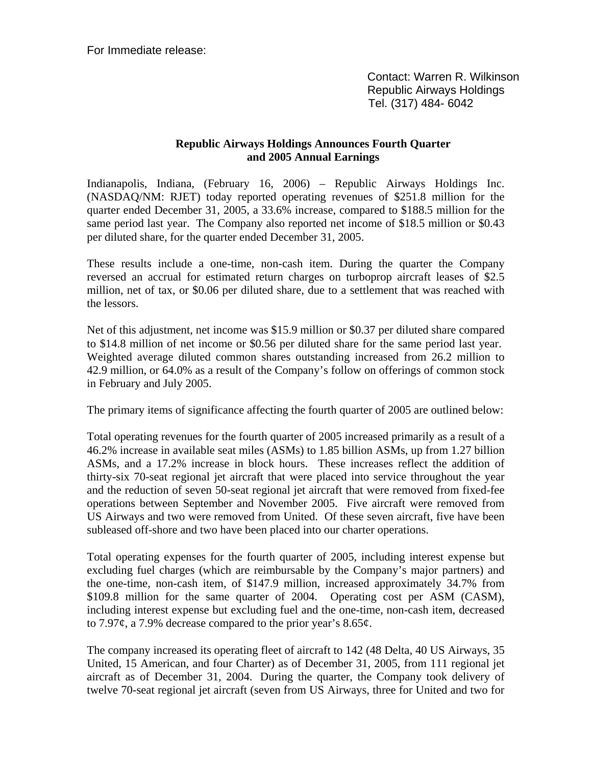For Immediate release:

 Contact: Warren R. Wilkinson Republic Airways Holdings Tel. (317) 484- 6042

## **Republic Airways Holdings Announces Fourth Quarter and 2005 Annual Earnings**

Indianapolis, Indiana, (February 16, 2006) – Republic Airways Holdings Inc. (NASDAQ/NM: RJET) today reported operating revenues of \$251.8 million for the quarter ended December 31, 2005, a 33.6% increase, compared to \$188.5 million for the same period last year. The Company also reported net income of \$18.5 million or \$0.43 per diluted share, for the quarter ended December 31, 2005.

These results include a one-time, non-cash item. During the quarter the Company reversed an accrual for estimated return charges on turboprop aircraft leases of \$2.5 million, net of tax, or \$0.06 per diluted share, due to a settlement that was reached with the lessors.

Net of this adjustment, net income was \$15.9 million or \$0.37 per diluted share compared to \$14.8 million of net income or \$0.56 per diluted share for the same period last year. Weighted average diluted common shares outstanding increased from 26.2 million to 42.9 million, or 64.0% as a result of the Company's follow on offerings of common stock in February and July 2005.

The primary items of significance affecting the fourth quarter of 2005 are outlined below:

Total operating revenues for the fourth quarter of 2005 increased primarily as a result of a 46.2% increase in available seat miles (ASMs) to 1.85 billion ASMs, up from 1.27 billion ASMs, and a 17.2% increase in block hours. These increases reflect the addition of thirty-six 70-seat regional jet aircraft that were placed into service throughout the year and the reduction of seven 50-seat regional jet aircraft that were removed from fixed-fee operations between September and November 2005. Five aircraft were removed from US Airways and two were removed from United. Of these seven aircraft, five have been subleased off-shore and two have been placed into our charter operations.

Total operating expenses for the fourth quarter of 2005, including interest expense but excluding fuel charges (which are reimbursable by the Company's major partners) and the one-time, non-cash item, of \$147.9 million, increased approximately 34.7% from \$109.8 million for the same quarter of 2004. Operating cost per ASM (CASM), including interest expense but excluding fuel and the one-time, non-cash item, decreased to 7.97 $\phi$ , a 7.9% decrease compared to the prior year's 8.65 $\phi$ .

The company increased its operating fleet of aircraft to 142 (48 Delta, 40 US Airways, 35 United, 15 American, and four Charter) as of December 31, 2005, from 111 regional jet aircraft as of December 31, 2004. During the quarter, the Company took delivery of twelve 70-seat regional jet aircraft (seven from US Airways, three for United and two for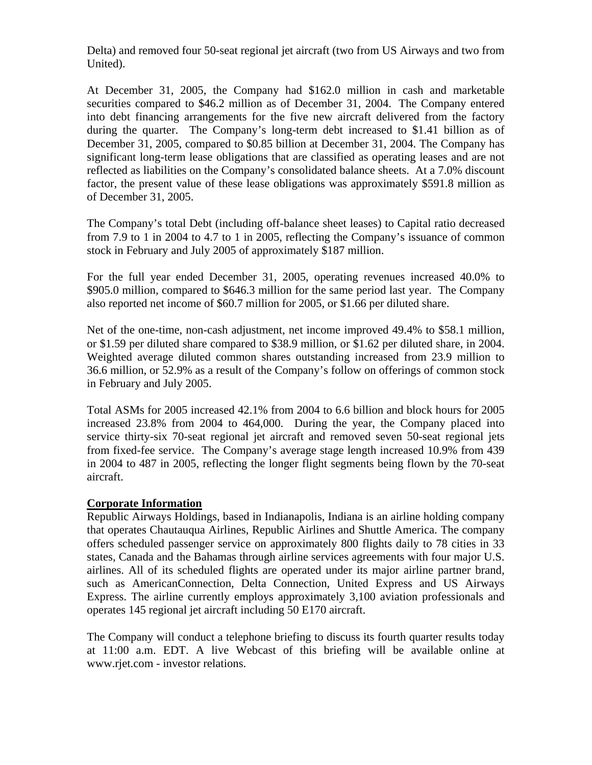Delta) and removed four 50-seat regional jet aircraft (two from US Airways and two from United).

At December 31, 2005, the Company had \$162.0 million in cash and marketable securities compared to \$46.2 million as of December 31, 2004. The Company entered into debt financing arrangements for the five new aircraft delivered from the factory during the quarter. The Company's long-term debt increased to \$1.41 billion as of December 31, 2005, compared to \$0.85 billion at December 31, 2004. The Company has significant long-term lease obligations that are classified as operating leases and are not reflected as liabilities on the Company's consolidated balance sheets. At a 7.0% discount factor, the present value of these lease obligations was approximately \$591.8 million as of December 31, 2005.

The Company's total Debt (including off-balance sheet leases) to Capital ratio decreased from 7.9 to 1 in 2004 to 4.7 to 1 in 2005, reflecting the Company's issuance of common stock in February and July 2005 of approximately \$187 million.

For the full year ended December 31, 2005, operating revenues increased 40.0% to \$905.0 million, compared to \$646.3 million for the same period last year. The Company also reported net income of \$60.7 million for 2005, or \$1.66 per diluted share.

Net of the one-time, non-cash adjustment, net income improved 49.4% to \$58.1 million, or \$1.59 per diluted share compared to \$38.9 million, or \$1.62 per diluted share, in 2004. Weighted average diluted common shares outstanding increased from 23.9 million to 36.6 million, or 52.9% as a result of the Company's follow on offerings of common stock in February and July 2005.

Total ASMs for 2005 increased 42.1% from 2004 to 6.6 billion and block hours for 2005 increased 23.8% from 2004 to 464,000. During the year, the Company placed into service thirty-six 70-seat regional jet aircraft and removed seven 50-seat regional jets from fixed-fee service. The Company's average stage length increased 10.9% from 439 in 2004 to 487 in 2005, reflecting the longer flight segments being flown by the 70-seat aircraft.

## **Corporate Information**

Republic Airways Holdings, based in Indianapolis, Indiana is an airline holding company that operates Chautauqua Airlines, Republic Airlines and Shuttle America. The company offers scheduled passenger service on approximately 800 flights daily to 78 cities in 33 states, Canada and the Bahamas through airline services agreements with four major U.S. airlines. All of its scheduled flights are operated under its major airline partner brand, such as AmericanConnection, Delta Connection, United Express and US Airways Express. The airline currently employs approximately 3,100 aviation professionals and operates 145 regional jet aircraft including 50 E170 aircraft.

The Company will conduct a telephone briefing to discuss its fourth quarter results today at 11:00 a.m. EDT. A live Webcast of this briefing will be available online at www.rjet.com - investor relations.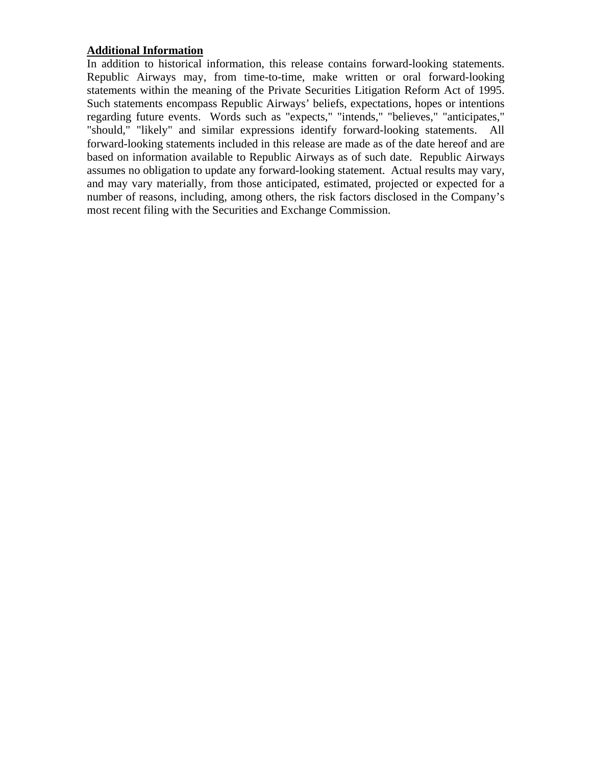## **Additional Information**

In addition to historical information, this release contains forward-looking statements. Republic Airways may, from time-to-time, make written or oral forward-looking statements within the meaning of the Private Securities Litigation Reform Act of 1995. Such statements encompass Republic Airways' beliefs, expectations, hopes or intentions regarding future events. Words such as "expects," "intends," "believes," "anticipates," "should," "likely" and similar expressions identify forward-looking statements. All forward-looking statements included in this release are made as of the date hereof and are based on information available to Republic Airways as of such date. Republic Airways assumes no obligation to update any forward-looking statement. Actual results may vary, and may vary materially, from those anticipated, estimated, projected or expected for a number of reasons, including, among others, the risk factors disclosed in the Company's most recent filing with the Securities and Exchange Commission.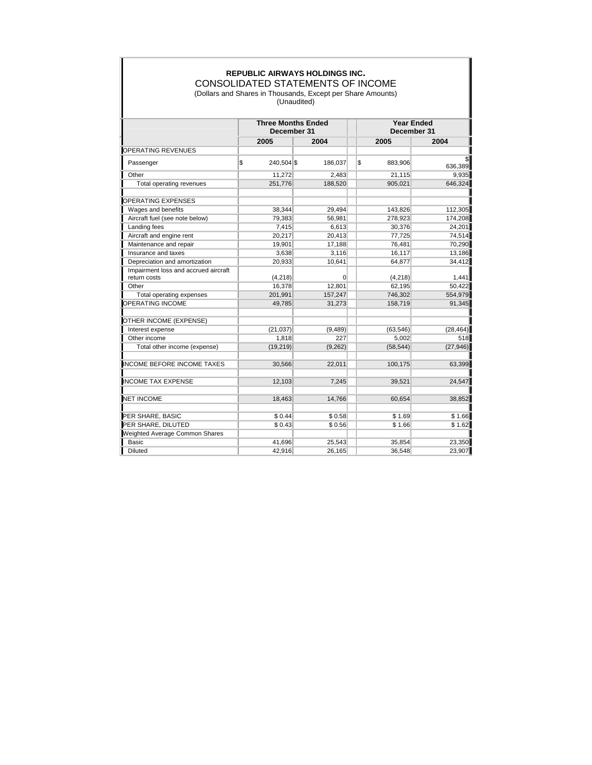## **REPUBLIC AIRWAYS HOLDINGS INC.** CONSOLIDATED STATEMENTS OF INCOME

(Dollars and Shares in Thousands, Except per Share Amounts) (Unaudited)

|                                                      | <b>Three Months Ended</b><br>December 31 |            |          |    | <b>Year Ended</b><br>December 31 |           |  |
|------------------------------------------------------|------------------------------------------|------------|----------|----|----------------------------------|-----------|--|
|                                                      |                                          | 2005       | 2004     |    | 2005                             | 2004      |  |
| OPERATING REVENUES                                   |                                          |            |          |    |                                  |           |  |
| Passenger                                            | \$                                       | 240,504 \$ | 186,037  | \$ | 883,906                          | 636,389   |  |
| Other                                                |                                          | 11,272     | 2,483    |    | 21,115                           | 9,935     |  |
| Total operating revenues                             |                                          | 251,776    | 188,520  |    | 905,021                          | 646,324   |  |
| <b>OPERATING EXPENSES</b>                            |                                          |            |          |    |                                  |           |  |
| Wages and benefits                                   |                                          | 38,344     | 29,494   |    | 143,826                          | 112,305   |  |
| Aircraft fuel (see note below)                       |                                          | 79,383     | 56,981   |    | 278,923                          | 174,208   |  |
| Landing fees                                         |                                          | 7,415      | 6,613    |    | 30,376                           | 24,201    |  |
| Aircraft and engine rent                             |                                          | 20,217     | 20,413   |    | 77,725                           | 74,514    |  |
| Maintenance and repair                               |                                          | 19,901     | 17,188   |    | 76,481                           | 70,290    |  |
| Insurance and taxes                                  |                                          | 3,638      | 3,116    |    | 16,117                           | 13,186    |  |
| Depreciation and amortization                        |                                          | 20,933     | 10,641   |    | 64,877                           | 34,412    |  |
| Impairment loss and accrued aircraft<br>return costs |                                          | (4,218)    | $\Omega$ |    | (4,218)                          | 1,441     |  |
| Other                                                |                                          | 16,378     | 12,801   |    | 62,195                           | 50,422    |  |
| Total operating expenses                             |                                          | 201,991    | 157,247  |    | 746,302                          | 554,979   |  |
| <b>OPERATING INCOME</b>                              |                                          | 49,785     | 31,273   |    | 158,719                          | 91,345    |  |
| OTHER INCOME (EXPENSE)                               |                                          |            |          |    |                                  |           |  |
| Interest expense                                     |                                          | (21, 037)  | (9, 489) |    | (63, 546)                        | (28, 464) |  |
| Other income                                         |                                          | 1,818      | 227      |    | 5,002                            | 518       |  |
| Total other income (expense)                         |                                          | (19, 219)  | (9,262)  |    | (58, 544)                        | (27, 946) |  |
| <b>INCOME BEFORE INCOME TAXES</b>                    |                                          | 30,566     | 22,011   |    | 100,175                          | 63,399    |  |
| <b>INCOME TAX EXPENSE</b>                            |                                          | 12,103     | 7,245    |    | 39,521                           | 24,547    |  |
| <b>NET INCOME</b>                                    |                                          | 18,463     | 14,766   |    | 60,654                           | 38,852    |  |
| PER SHARE, BASIC                                     |                                          | \$0.44     | \$0.58   |    | \$1.69                           | \$1.66    |  |
| PER SHARE, DILUTED                                   |                                          | \$0.43     | \$0.56   |    | \$1.66                           | \$1.62    |  |
| Weighted Average Common Shares                       |                                          |            |          |    |                                  |           |  |
| Basic                                                |                                          | 41,696     | 25,543   |    | 35,854                           | 23,350    |  |
| Diluted                                              |                                          | 42,916     | 26,165   |    | 36,548                           | 23,907    |  |